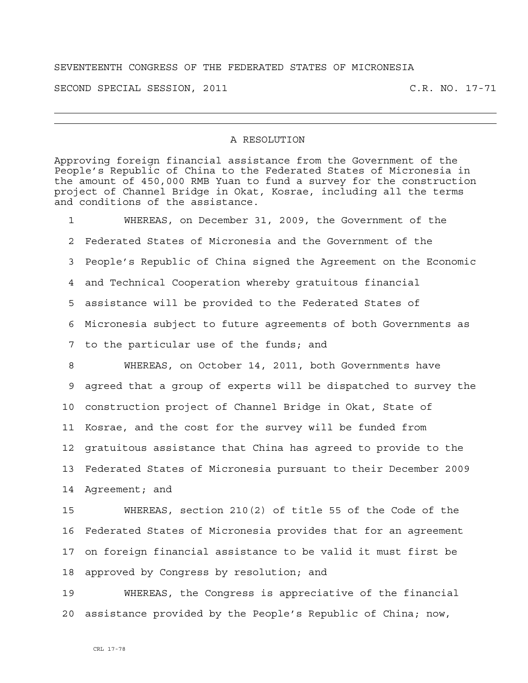## SEVENTEENTH CONGRESS OF THE FEDERATED STATES OF MICRONESIA

SECOND SPECIAL SESSION, 2011 C.R. NO. 17-71

## A RESOLUTION

Approving foreign financial assistance from the Government of the People's Republic of China to the Federated States of Micronesia in the amount of 450,000 RMB Yuan to fund a survey for the construction project of Channel Bridge in Okat, Kosrae, including all the terms and conditions of the assistance.

1 WHEREAS, on December 31, 2009, the Government of the 2 Federated States of Micronesia and the Government of the 3 People's Republic of China signed the Agreement on the Economic 4 and Technical Cooperation whereby gratuitous financial 5 assistance will be provided to the Federated States of 6 Micronesia subject to future agreements of both Governments as 7 to the particular use of the funds; and 8 WHEREAS, on October 14, 2011, both Governments have 9 agreed that a group of experts will be dispatched to survey the 10 construction project of Channel Bridge in Okat, State of 11 Kosrae, and the cost for the survey will be funded from 12 gratuitous assistance that China has agreed to provide to the 13 Federated States of Micronesia pursuant to their December 2009 14 Agreement; and

15 WHEREAS, section 210(2) of title 55 of the Code of the 16 Federated States of Micronesia provides that for an agreement 17 on foreign financial assistance to be valid it must first be 18 approved by Congress by resolution; and

19 WHEREAS, the Congress is appreciative of the financial 20 assistance provided by the People's Republic of China; now,